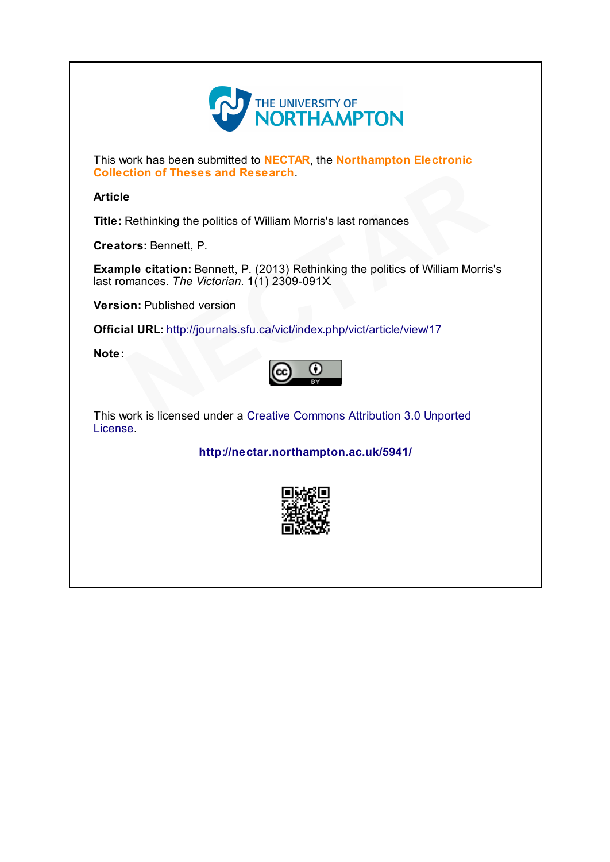

This work has been submitted to NECTAR, the Northampton Electronic Collection of Theses and Research.

## Article

Title: Rethinking the politics of William Morris's last romances

Creators: Bennett, P.

Example citation: Bennett, P. (2013) Rethinking the politics of William Morris's last romances. The Victorian. 1(1) 2309-091X. **and Research.**<br> **a**<br>
Rethinking the politics of William Morris's last romances<br> **ors:** Bennett, P.<br> **ple citation:** Bennett, P. (2013) Rethinking the politics of William Morris<br>
mances. *The Victorian*. **1**(1) 2309-091X.<br>

Version: Published version

Official URL: http://journals.sfu.ca/vict/index.php/vict/article/view/17

Note:



This work is licensed under a Creative Commons Attribution 3.0 Unported License.

<http://nectar.northampton.ac.uk/5941/>

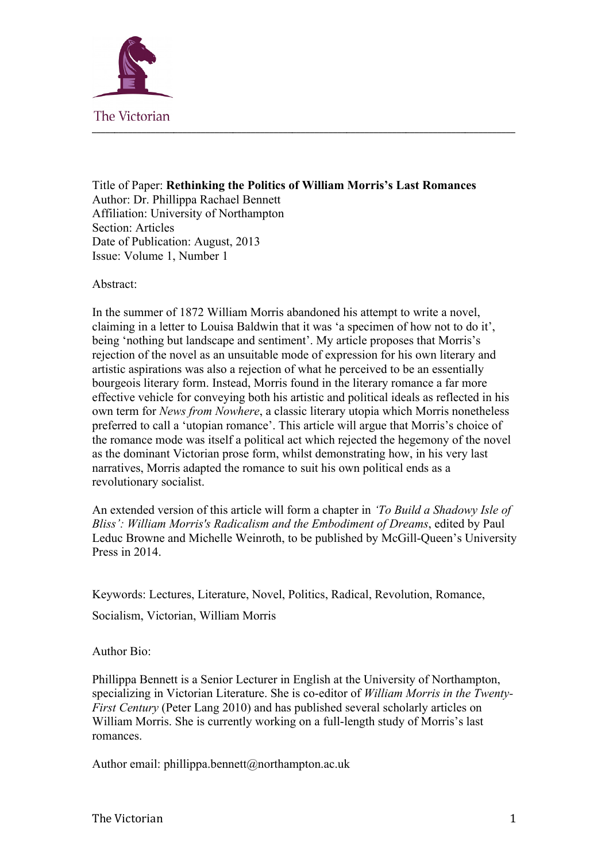

Title of Paper: **Rethinking the Politics of William Morris's Last Romances**  Author: Dr. Phillippa Rachael Bennett Affiliation: University of Northampton Section: Articles Date of Publication: August, 2013 Issue: Volume 1, Number 1

Abstract:

In the summer of 1872 William Morris abandoned his attempt to write a novel, claiming in a letter to Louisa Baldwin that it was 'a specimen of how not to do it', being 'nothing but landscape and sentiment'. My article proposes that Morris's rejection of the novel as an unsuitable mode of expression for his own literary and artistic aspirations was also a rejection of what he perceived to be an essentially bourgeois literary form. Instead, Morris found in the literary romance a far more effective vehicle for conveying both his artistic and political ideals as reflected in his own term for *News from Nowhere*, a classic literary utopia which Morris nonetheless preferred to call a 'utopian romance'. This article will argue that Morris's choice of the romance mode was itself a political act which rejected the hegemony of the novel as the dominant Victorian prose form, whilst demonstrating how, in his very last narratives, Morris adapted the romance to suit his own political ends as a revolutionary socialist.

An extended version of this article will form a chapter in *'To Build a Shadowy Isle of Bliss': William Morris's Radicalism and the Embodiment of Dreams*, edited by Paul Leduc Browne and Michelle Weinroth, to be published by McGill-Queen's University Press in 2014.

Keywords: Lectures, Literature, Novel, Politics, Radical, Revolution, Romance,

Socialism, Victorian, William Morris

Author Bio:

Phillippa Bennett is a Senior Lecturer in English at the University of Northampton, specializing in Victorian Literature. She is co-editor of *William Morris in the Twenty-First Century* (Peter Lang 2010) and has published several scholarly articles on William Morris. She is currently working on a full-length study of Morris's last romances.

Author email: phillippa.bennett@northampton.ac.uk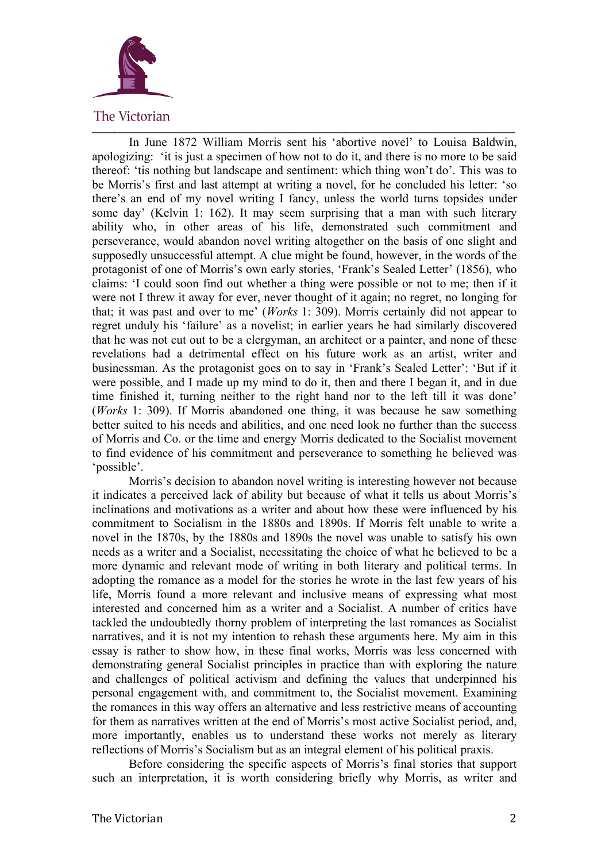

In June 1872 William Morris sent his 'abortive novel' to Louisa Baldwin, apologizing: 'it is just a specimen of how not to do it, and there is no more to be said thereof: 'tis nothing but landscape and sentiment: which thing won't do'. This was to be Morris's first and last attempt at writing a novel, for he concluded his letter: 'so there's an end of my novel writing I fancy, unless the world turns topsides under some day' (Kelvin 1: 162). It may seem surprising that a man with such literary ability who, in other areas of his life, demonstrated such commitment and perseverance, would abandon novel writing altogether on the basis of one slight and supposedly unsuccessful attempt. A clue might be found, however, in the words of the protagonist of one of Morris's own early stories, 'Frank's Sealed Letter' (1856), who claims: 'I could soon find out whether a thing were possible or not to me; then if it were not I threw it away for ever, never thought of it again; no regret, no longing for that; it was past and over to me' (*Works* 1: 309). Morris certainly did not appear to regret unduly his 'failure' as a novelist; in earlier years he had similarly discovered that he was not cut out to be a clergyman, an architect or a painter, and none of these revelations had a detrimental effect on his future work as an artist, writer and businessman. As the protagonist goes on to say in 'Frank's Sealed Letter': 'But if it were possible, and I made up my mind to do it, then and there I began it, and in due time finished it, turning neither to the right hand nor to the left till it was done' (*Works* 1: 309). If Morris abandoned one thing, it was because he saw something better suited to his needs and abilities, and one need look no further than the success of Morris and Co. or the time and energy Morris dedicated to the Socialist movement to find evidence of his commitment and perseverance to something he believed was 'possible'.

Morris's decision to abandon novel writing is interesting however not because it indicates a perceived lack of ability but because of what it tells us about Morris's inclinations and motivations as a writer and about how these were influenced by his commitment to Socialism in the 1880s and 1890s. If Morris felt unable to write a novel in the 1870s, by the 1880s and 1890s the novel was unable to satisfy his own needs as a writer and a Socialist, necessitating the choice of what he believed to be a more dynamic and relevant mode of writing in both literary and political terms. In adopting the romance as a model for the stories he wrote in the last few years of his life, Morris found a more relevant and inclusive means of expressing what most interested and concerned him as a writer and a Socialist. A number of critics have tackled the undoubtedly thorny problem of interpreting the last romances as Socialist narratives, and it is not my intention to rehash these arguments here. My aim in this essay is rather to show how, in these final works, Morris was less concerned with demonstrating general Socialist principles in practice than with exploring the nature and challenges of political activism and defining the values that underpinned his personal engagement with, and commitment to, the Socialist movement. Examining the romances in this way offers an alternative and less restrictive means of accounting for them as narratives written at the end of Morris's most active Socialist period, and, more importantly, enables us to understand these works not merely as literary reflections of Morris's Socialism but as an integral element of his political praxis.

Before considering the specific aspects of Morris's final stories that support such an interpretation, it is worth considering briefly why Morris, as writer and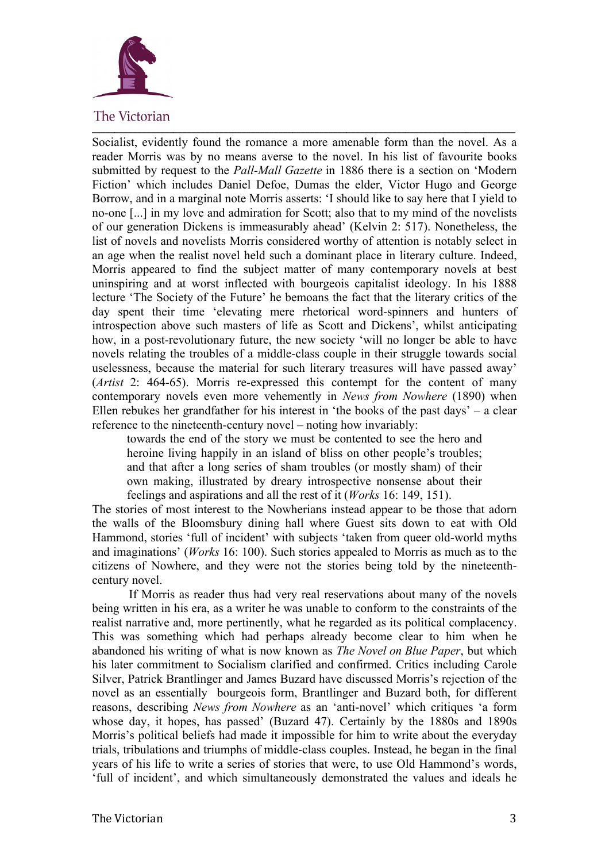

Socialist, evidently found the romance a more amenable form than the novel. As a reader Morris was by no means averse to the novel. In his list of favourite books submitted by request to the *Pall-Mall Gazette* in 1886 there is a section on 'Modern Fiction' which includes Daniel Defoe, Dumas the elder, Victor Hugo and George Borrow, and in a marginal note Morris asserts: 'I should like to say here that I yield to no-one [...] in my love and admiration for Scott; also that to my mind of the novelists of our generation Dickens is immeasurably ahead' (Kelvin 2: 517). Nonetheless, the list of novels and novelists Morris considered worthy of attention is notably select in an age when the realist novel held such a dominant place in literary culture. Indeed, Morris appeared to find the subject matter of many contemporary novels at best uninspiring and at worst inflected with bourgeois capitalist ideology. In his 1888 lecture 'The Society of the Future' he bemoans the fact that the literary critics of the day spent their time 'elevating mere rhetorical word-spinners and hunters of introspection above such masters of life as Scott and Dickens', whilst anticipating how, in a post-revolutionary future, the new society 'will no longer be able to have novels relating the troubles of a middle-class couple in their struggle towards social uselessness, because the material for such literary treasures will have passed away' (*Artist* 2: 464-65). Morris re-expressed this contempt for the content of many contemporary novels even more vehemently in *News from Nowhere* (1890) when Ellen rebukes her grandfather for his interest in 'the books of the past days' – a clear reference to the nineteenth-century novel – noting how invariably:

towards the end of the story we must be contented to see the hero and heroine living happily in an island of bliss on other people's troubles; and that after a long series of sham troubles (or mostly sham) of their own making, illustrated by dreary introspective nonsense about their feelings and aspirations and all the rest of it (*Works* 16: 149, 151).

The stories of most interest to the Nowherians instead appear to be those that adorn the walls of the Bloomsbury dining hall where Guest sits down to eat with Old Hammond, stories 'full of incident' with subjects 'taken from queer old-world myths and imaginations' (*Works* 16: 100). Such stories appealed to Morris as much as to the citizens of Nowhere, and they were not the stories being told by the nineteenthcentury novel.

If Morris as reader thus had very real reservations about many of the novels being written in his era, as a writer he was unable to conform to the constraints of the realist narrative and, more pertinently, what he regarded as its political complacency. This was something which had perhaps already become clear to him when he abandoned his writing of what is now known as *The Novel on Blue Paper*, but which his later commitment to Socialism clarified and confirmed. Critics including Carole Silver, Patrick Brantlinger and James Buzard have discussed Morris's rejection of the novel as an essentially bourgeois form, Brantlinger and Buzard both, for different reasons, describing *News from Nowhere* as an 'anti-novel' which critiques 'a form whose day, it hopes, has passed' (Buzard 47). Certainly by the 1880s and 1890s Morris's political beliefs had made it impossible for him to write about the everyday trials, tribulations and triumphs of middle-class couples. Instead, he began in the final years of his life to write a series of stories that were, to use Old Hammond's words, 'full of incident', and which simultaneously demonstrated the values and ideals he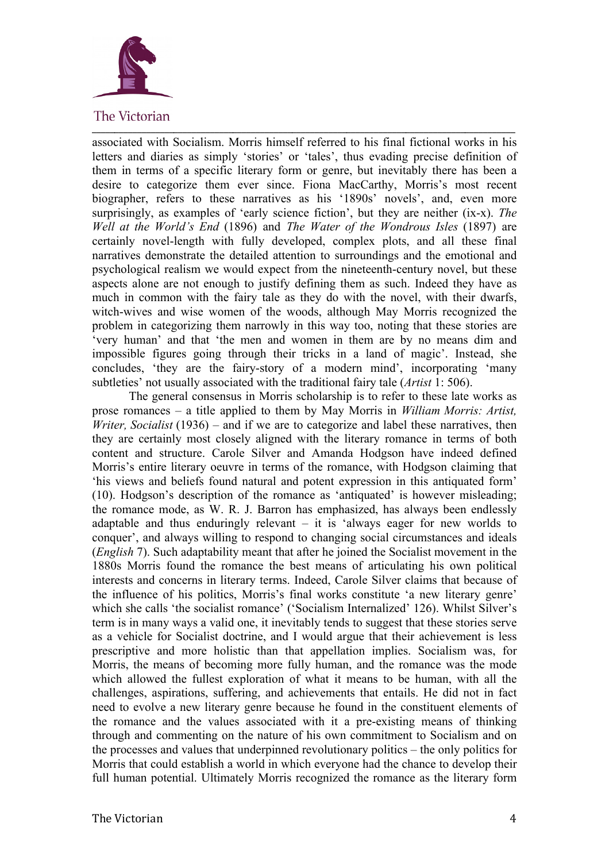

associated with Socialism. Morris himself referred to his final fictional works in his letters and diaries as simply 'stories' or 'tales', thus evading precise definition of them in terms of a specific literary form or genre, but inevitably there has been a desire to categorize them ever since. Fiona MacCarthy, Morris's most recent biographer, refers to these narratives as his '1890s' novels', and, even more surprisingly, as examples of 'early science fiction', but they are neither (ix-x). *The Well at the World's End* (1896) and *The Water of the Wondrous Isles* (1897) are certainly novel-length with fully developed, complex plots, and all these final narratives demonstrate the detailed attention to surroundings and the emotional and psychological realism we would expect from the nineteenth-century novel, but these aspects alone are not enough to justify defining them as such. Indeed they have as much in common with the fairy tale as they do with the novel, with their dwarfs, witch-wives and wise women of the woods, although May Morris recognized the problem in categorizing them narrowly in this way too, noting that these stories are 'very human' and that 'the men and women in them are by no means dim and impossible figures going through their tricks in a land of magic'. Instead, she concludes, 'they are the fairy-story of a modern mind', incorporating 'many subtleties' not usually associated with the traditional fairy tale (*Artist* 1: 506).

The general consensus in Morris scholarship is to refer to these late works as prose romances – a title applied to them by May Morris in *William Morris: Artist, Writer, Socialist* (1936) – and if we are to categorize and label these narratives, then they are certainly most closely aligned with the literary romance in terms of both content and structure. Carole Silver and Amanda Hodgson have indeed defined Morris's entire literary oeuvre in terms of the romance, with Hodgson claiming that 'his views and beliefs found natural and potent expression in this antiquated form' (10). Hodgson's description of the romance as 'antiquated' is however misleading; the romance mode, as W. R. J. Barron has emphasized, has always been endlessly adaptable and thus enduringly relevant – it is 'always eager for new worlds to conquer', and always willing to respond to changing social circumstances and ideals (*English* 7). Such adaptability meant that after he joined the Socialist movement in the 1880s Morris found the romance the best means of articulating his own political interests and concerns in literary terms. Indeed, Carole Silver claims that because of the influence of his politics, Morris's final works constitute 'a new literary genre' which she calls 'the socialist romance' ('Socialism Internalized' 126). Whilst Silver's term is in many ways a valid one, it inevitably tends to suggest that these stories serve as a vehicle for Socialist doctrine, and I would argue that their achievement is less prescriptive and more holistic than that appellation implies. Socialism was, for Morris, the means of becoming more fully human, and the romance was the mode which allowed the fullest exploration of what it means to be human, with all the challenges, aspirations, suffering, and achievements that entails. He did not in fact need to evolve a new literary genre because he found in the constituent elements of the romance and the values associated with it a pre-existing means of thinking through and commenting on the nature of his own commitment to Socialism and on the processes and values that underpinned revolutionary politics – the only politics for Morris that could establish a world in which everyone had the chance to develop their full human potential. Ultimately Morris recognized the romance as the literary form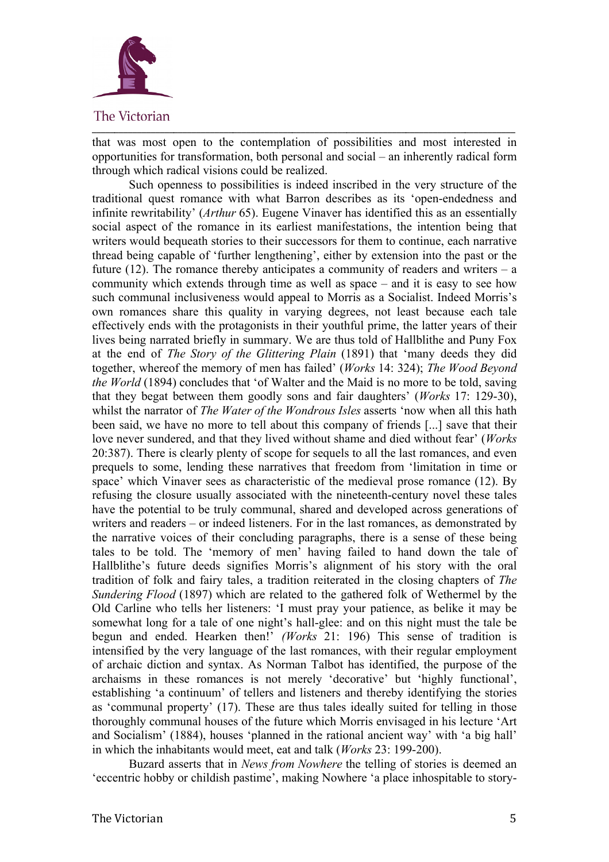

that was most open to the contemplation of possibilities and most interested in opportunities for transformation, both personal and social – an inherently radical form through which radical visions could be realized.

Such openness to possibilities is indeed inscribed in the very structure of the traditional quest romance with what Barron describes as its 'open-endedness and infinite rewritability' (*Arthur* 65). Eugene Vinaver has identified this as an essentially social aspect of the romance in its earliest manifestations, the intention being that writers would bequeath stories to their successors for them to continue, each narrative thread being capable of 'further lengthening', either by extension into the past or the future (12). The romance thereby anticipates a community of readers and writers – a community which extends through time as well as space – and it is easy to see how such communal inclusiveness would appeal to Morris as a Socialist. Indeed Morris's own romances share this quality in varying degrees, not least because each tale effectively ends with the protagonists in their youthful prime, the latter years of their lives being narrated briefly in summary. We are thus told of Hallblithe and Puny Fox at the end of *The Story of the Glittering Plain* (1891) that 'many deeds they did together, whereof the memory of men has failed' (*Works* 14: 324); *The Wood Beyond the World* (1894) concludes that 'of Walter and the Maid is no more to be told, saving that they begat between them goodly sons and fair daughters' (*Works* 17: 129-30), whilst the narrator of *The Water of the Wondrous Isles* asserts 'now when all this hath been said, we have no more to tell about this company of friends [...] save that their love never sundered, and that they lived without shame and died without fear' (*Works*  20:387). There is clearly plenty of scope for sequels to all the last romances, and even prequels to some, lending these narratives that freedom from 'limitation in time or space' which Vinaver sees as characteristic of the medieval prose romance (12). By refusing the closure usually associated with the nineteenth-century novel these tales have the potential to be truly communal, shared and developed across generations of writers and readers – or indeed listeners. For in the last romances, as demonstrated by the narrative voices of their concluding paragraphs, there is a sense of these being tales to be told. The 'memory of men' having failed to hand down the tale of Hallblithe's future deeds signifies Morris's alignment of his story with the oral tradition of folk and fairy tales, a tradition reiterated in the closing chapters of *The Sundering Flood* (1897) which are related to the gathered folk of Wethermel by the Old Carline who tells her listeners: 'I must pray your patience, as belike it may be somewhat long for a tale of one night's hall-glee: and on this night must the tale be begun and ended. Hearken then!' *(Works* 21: 196) This sense of tradition is intensified by the very language of the last romances, with their regular employment of archaic diction and syntax. As Norman Talbot has identified, the purpose of the archaisms in these romances is not merely 'decorative' but 'highly functional', establishing 'a continuum' of tellers and listeners and thereby identifying the stories as 'communal property' (17). These are thus tales ideally suited for telling in those thoroughly communal houses of the future which Morris envisaged in his lecture 'Art and Socialism' (1884), houses 'planned in the rational ancient way' with 'a big hall' in which the inhabitants would meet, eat and talk (*Works* 23: 199-200).

Buzard asserts that in *News from Nowhere* the telling of stories is deemed an 'eccentric hobby or childish pastime', making Nowhere 'a place inhospitable to story-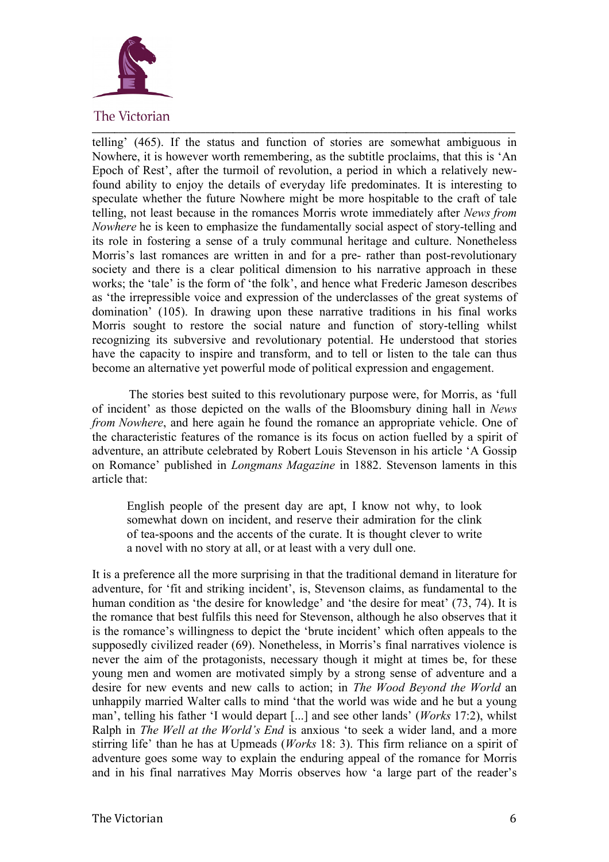

\_\_\_\_\_\_\_\_\_\_\_\_\_\_\_\_\_\_\_\_\_\_\_\_\_\_\_\_\_\_\_\_\_\_\_\_\_\_\_\_\_\_\_\_\_\_\_\_\_\_\_\_\_\_\_\_\_\_\_\_\_\_\_\_\_\_\_\_\_\_\_\_\_\_\_\_\_\_\_\_\_\_\_\_\_\_\_\_\_\_\_\_\_ telling' (465). If the status and function of stories are somewhat ambiguous in Nowhere, it is however worth remembering, as the subtitle proclaims, that this is 'An Epoch of Rest', after the turmoil of revolution, a period in which a relatively newfound ability to enjoy the details of everyday life predominates. It is interesting to speculate whether the future Nowhere might be more hospitable to the craft of tale telling, not least because in the romances Morris wrote immediately after *News from Nowhere* he is keen to emphasize the fundamentally social aspect of story-telling and its role in fostering a sense of a truly communal heritage and culture. Nonetheless Morris's last romances are written in and for a pre- rather than post-revolutionary society and there is a clear political dimension to his narrative approach in these works; the 'tale' is the form of 'the folk', and hence what Frederic Jameson describes as 'the irrepressible voice and expression of the underclasses of the great systems of domination' (105). In drawing upon these narrative traditions in his final works Morris sought to restore the social nature and function of story-telling whilst recognizing its subversive and revolutionary potential. He understood that stories have the capacity to inspire and transform, and to tell or listen to the tale can thus become an alternative yet powerful mode of political expression and engagement.

The stories best suited to this revolutionary purpose were, for Morris, as 'full of incident' as those depicted on the walls of the Bloomsbury dining hall in *News from Nowhere*, and here again he found the romance an appropriate vehicle. One of the characteristic features of the romance is its focus on action fuelled by a spirit of adventure, an attribute celebrated by Robert Louis Stevenson in his article 'A Gossip on Romance' published in *Longmans Magazine* in 1882. Stevenson laments in this article that:

English people of the present day are apt, I know not why, to look somewhat down on incident, and reserve their admiration for the clink of tea-spoons and the accents of the curate. It is thought clever to write a novel with no story at all, or at least with a very dull one.

It is a preference all the more surprising in that the traditional demand in literature for adventure, for 'fit and striking incident', is, Stevenson claims, as fundamental to the human condition as 'the desire for knowledge' and 'the desire for meat' (73, 74). It is the romance that best fulfils this need for Stevenson, although he also observes that it is the romance's willingness to depict the 'brute incident' which often appeals to the supposedly civilized reader (69). Nonetheless, in Morris's final narratives violence is never the aim of the protagonists, necessary though it might at times be, for these young men and women are motivated simply by a strong sense of adventure and a desire for new events and new calls to action; in *The Wood Beyond the World* an unhappily married Walter calls to mind 'that the world was wide and he but a young man', telling his father 'I would depart [...] and see other lands' (*Works* 17:2), whilst Ralph in *The Well at the World's End* is anxious 'to seek a wider land, and a more stirring life' than he has at Upmeads (*Works* 18: 3). This firm reliance on a spirit of adventure goes some way to explain the enduring appeal of the romance for Morris and in his final narratives May Morris observes how 'a large part of the reader's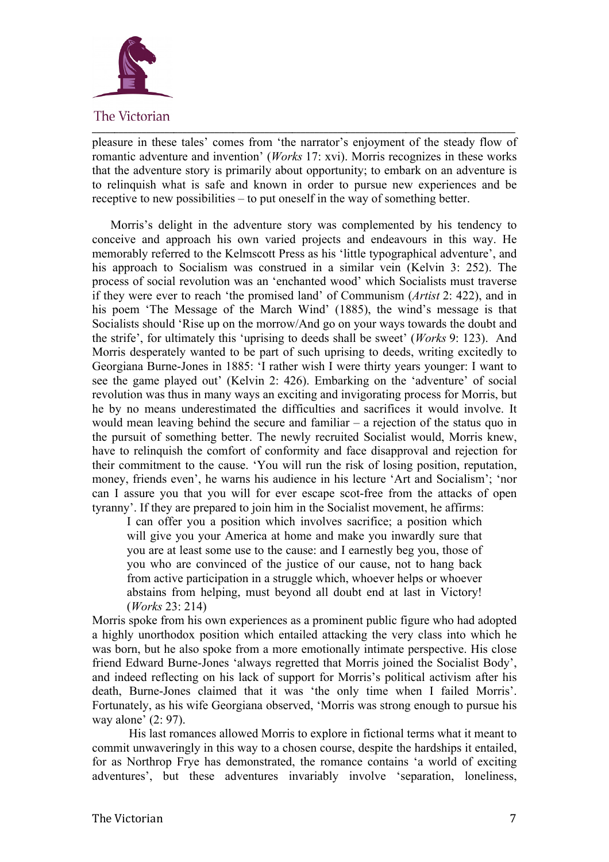

pleasure in these tales' comes from 'the narrator's enjoyment of the steady flow of romantic adventure and invention' (*Works* 17: xvi). Morris recognizes in these works that the adventure story is primarily about opportunity; to embark on an adventure is to relinquish what is safe and known in order to pursue new experiences and be receptive to new possibilities – to put oneself in the way of something better.

 Morris's delight in the adventure story was complemented by his tendency to conceive and approach his own varied projects and endeavours in this way. He memorably referred to the Kelmscott Press as his 'little typographical adventure', and his approach to Socialism was construed in a similar vein (Kelvin 3: 252). The process of social revolution was an 'enchanted wood' which Socialists must traverse if they were ever to reach 'the promised land' of Communism (*Artist* 2: 422), and in his poem 'The Message of the March Wind' (1885), the wind's message is that Socialists should 'Rise up on the morrow/And go on your ways towards the doubt and the strife', for ultimately this 'uprising to deeds shall be sweet' (*Works* 9: 123). And Morris desperately wanted to be part of such uprising to deeds, writing excitedly to Georgiana Burne-Jones in 1885: 'I rather wish I were thirty years younger: I want to see the game played out' (Kelvin 2: 426). Embarking on the 'adventure' of social revolution was thus in many ways an exciting and invigorating process for Morris, but he by no means underestimated the difficulties and sacrifices it would involve. It would mean leaving behind the secure and familiar – a rejection of the status quo in the pursuit of something better. The newly recruited Socialist would, Morris knew, have to relinquish the comfort of conformity and face disapproval and rejection for their commitment to the cause. 'You will run the risk of losing position, reputation, money, friends even', he warns his audience in his lecture 'Art and Socialism'; 'nor can I assure you that you will for ever escape scot-free from the attacks of open tyranny'. If they are prepared to join him in the Socialist movement, he affirms:

I can offer you a position which involves sacrifice; a position which will give you your America at home and make you inwardly sure that you are at least some use to the cause: and I earnestly beg you, those of you who are convinced of the justice of our cause, not to hang back from active participation in a struggle which, whoever helps or whoever abstains from helping, must beyond all doubt end at last in Victory! (*Works* 23: 214)

Morris spoke from his own experiences as a prominent public figure who had adopted a highly unorthodox position which entailed attacking the very class into which he was born, but he also spoke from a more emotionally intimate perspective. His close friend Edward Burne-Jones 'always regretted that Morris joined the Socialist Body', and indeed reflecting on his lack of support for Morris's political activism after his death, Burne-Jones claimed that it was 'the only time when I failed Morris'. Fortunately, as his wife Georgiana observed, 'Morris was strong enough to pursue his way alone' (2: 97).

His last romances allowed Morris to explore in fictional terms what it meant to commit unwaveringly in this way to a chosen course, despite the hardships it entailed, for as Northrop Frye has demonstrated, the romance contains 'a world of exciting adventures', but these adventures invariably involve 'separation, loneliness,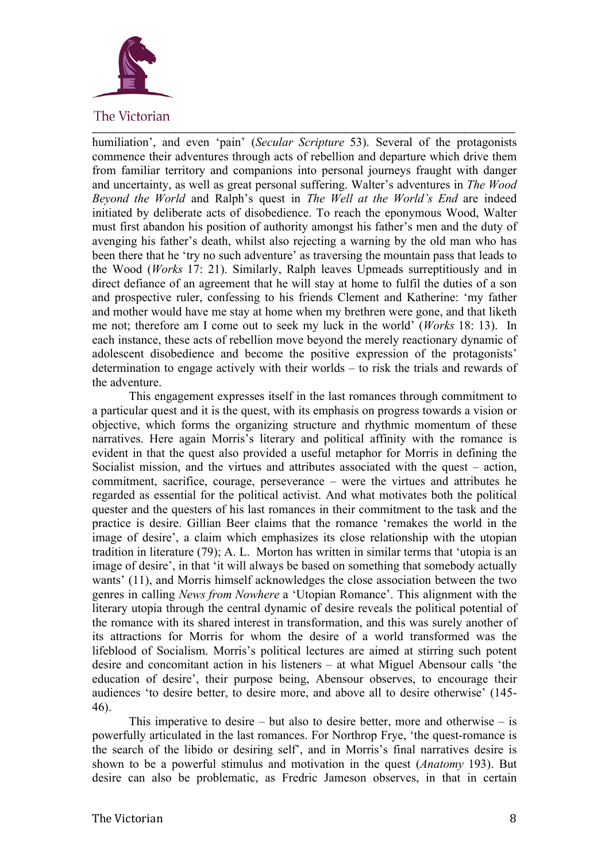

\_\_\_\_\_\_\_\_\_\_\_\_\_\_\_\_\_\_\_\_\_\_\_\_\_\_\_\_\_\_\_\_\_\_\_\_\_\_\_\_\_\_\_\_\_\_\_\_\_\_\_\_\_\_\_\_\_\_\_\_\_\_\_\_\_\_\_\_\_\_\_\_\_\_\_\_\_\_\_\_\_\_\_\_\_\_\_\_\_\_\_\_\_ humiliation', and even 'pain' (*Secular Scripture* 53). Several of the protagonists commence their adventures through acts of rebellion and departure which drive them from familiar territory and companions into personal journeys fraught with danger and uncertainty, as well as great personal suffering. Walter's adventures in *The Wood Beyond the World* and Ralph's quest in *The Well at the World's End* are indeed initiated by deliberate acts of disobedience. To reach the eponymous Wood, Walter must first abandon his position of authority amongst his father's men and the duty of avenging his father's death, whilst also rejecting a warning by the old man who has been there that he 'try no such adventure' as traversing the mountain pass that leads to the Wood (*Works* 17: 21). Similarly, Ralph leaves Upmeads surreptitiously and in direct defiance of an agreement that he will stay at home to fulfil the duties of a son and prospective ruler, confessing to his friends Clement and Katherine: 'my father and mother would have me stay at home when my brethren were gone, and that liketh me not; therefore am I come out to seek my luck in the world' (*Works* 18: 13). In each instance, these acts of rebellion move beyond the merely reactionary dynamic of adolescent disobedience and become the positive expression of the protagonists' determination to engage actively with their worlds – to risk the trials and rewards of the adventure.

This engagement expresses itself in the last romances through commitment to a particular quest and it is the quest, with its emphasis on progress towards a vision or objective, which forms the organizing structure and rhythmic momentum of these narratives. Here again Morris's literary and political affinity with the romance is evident in that the quest also provided a useful metaphor for Morris in defining the Socialist mission, and the virtues and attributes associated with the quest – action, commitment, sacrifice, courage, perseverance – were the virtues and attributes he regarded as essential for the political activist. And what motivates both the political quester and the questers of his last romances in their commitment to the task and the practice is desire. Gillian Beer claims that the romance 'remakes the world in the image of desire', a claim which emphasizes its close relationship with the utopian tradition in literature (79); A. L. Morton has written in similar terms that 'utopia is an image of desire', in that 'it will always be based on something that somebody actually wants' (11), and Morris himself acknowledges the close association between the two genres in calling *News from Nowhere* a 'Utopian Romance'. This alignment with the literary utopia through the central dynamic of desire reveals the political potential of the romance with its shared interest in transformation, and this was surely another of its attractions for Morris for whom the desire of a world transformed was the lifeblood of Socialism. Morris's political lectures are aimed at stirring such potent desire and concomitant action in his listeners – at what Miguel Abensour calls 'the education of desire', their purpose being, Abensour observes, to encourage their audiences 'to desire better, to desire more, and above all to desire otherwise' (145- 46).

This imperative to desire – but also to desire better, more and otherwise – is powerfully articulated in the last romances. For Northrop Frye, 'the quest-romance is the search of the libido or desiring self', and in Morris's final narratives desire is shown to be a powerful stimulus and motivation in the quest (*Anatomy* 193). But desire can also be problematic, as Fredric Jameson observes, in that in certain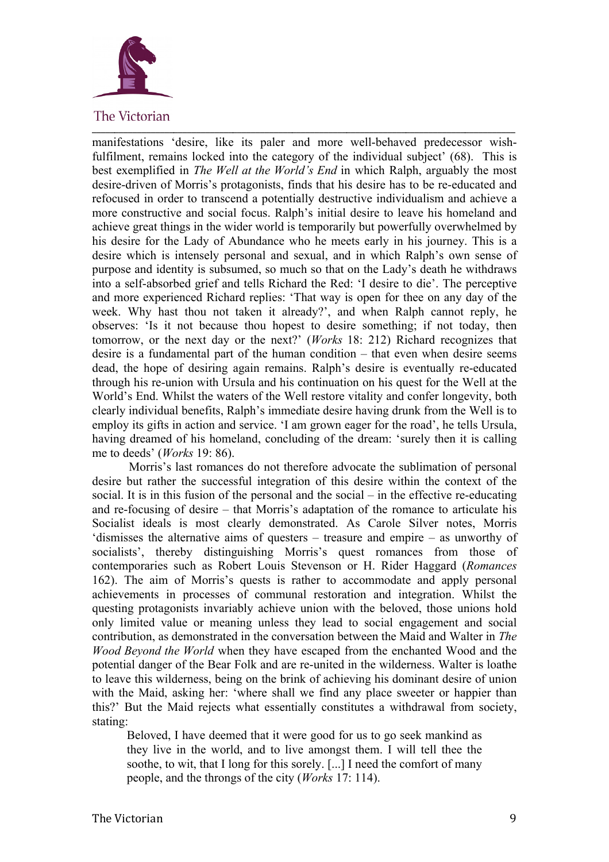

manifestations 'desire, like its paler and more well-behaved predecessor wishfulfilment, remains locked into the category of the individual subject' (68). This is best exemplified in *The Well at the World's End* in which Ralph, arguably the most desire-driven of Morris's protagonists, finds that his desire has to be re-educated and refocused in order to transcend a potentially destructive individualism and achieve a more constructive and social focus. Ralph's initial desire to leave his homeland and achieve great things in the wider world is temporarily but powerfully overwhelmed by his desire for the Lady of Abundance who he meets early in his journey. This is a desire which is intensely personal and sexual, and in which Ralph's own sense of purpose and identity is subsumed, so much so that on the Lady's death he withdraws into a self-absorbed grief and tells Richard the Red: 'I desire to die'. The perceptive and more experienced Richard replies: 'That way is open for thee on any day of the week. Why hast thou not taken it already?', and when Ralph cannot reply, he observes: 'Is it not because thou hopest to desire something; if not today, then tomorrow, or the next day or the next?' (*Works* 18: 212) Richard recognizes that desire is a fundamental part of the human condition – that even when desire seems dead, the hope of desiring again remains. Ralph's desire is eventually re-educated through his re-union with Ursula and his continuation on his quest for the Well at the World's End. Whilst the waters of the Well restore vitality and confer longevity, both clearly individual benefits, Ralph's immediate desire having drunk from the Well is to employ its gifts in action and service. 'I am grown eager for the road', he tells Ursula, having dreamed of his homeland, concluding of the dream: 'surely then it is calling me to deeds' (*Works* 19: 86).

Morris's last romances do not therefore advocate the sublimation of personal desire but rather the successful integration of this desire within the context of the social. It is in this fusion of the personal and the social – in the effective re-educating and re-focusing of desire – that Morris's adaptation of the romance to articulate his Socialist ideals is most clearly demonstrated. As Carole Silver notes, Morris 'dismisses the alternative aims of questers – treasure and empire – as unworthy of socialists', thereby distinguishing Morris's quest romances from those of contemporaries such as Robert Louis Stevenson or H. Rider Haggard (*Romances*  162). The aim of Morris's quests is rather to accommodate and apply personal achievements in processes of communal restoration and integration. Whilst the questing protagonists invariably achieve union with the beloved, those unions hold only limited value or meaning unless they lead to social engagement and social contribution, as demonstrated in the conversation between the Maid and Walter in *The Wood Beyond the World* when they have escaped from the enchanted Wood and the potential danger of the Bear Folk and are re-united in the wilderness. Walter is loathe to leave this wilderness, being on the brink of achieving his dominant desire of union with the Maid, asking her: 'where shall we find any place sweeter or happier than this?' But the Maid rejects what essentially constitutes a withdrawal from society, stating:

Beloved, I have deemed that it were good for us to go seek mankind as they live in the world, and to live amongst them. I will tell thee the soothe, to wit, that I long for this sorely. [...] I need the comfort of many people, and the throngs of the city (*Works* 17: 114).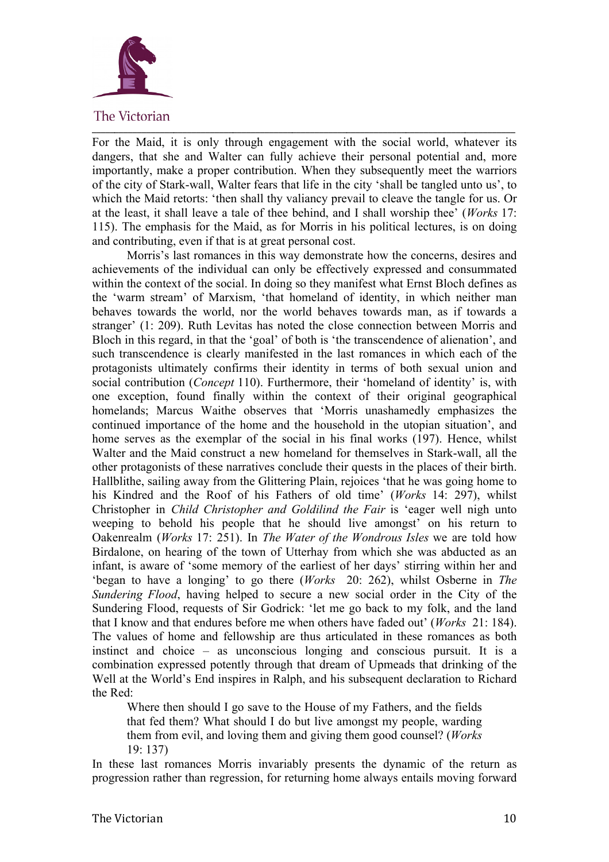

For the Maid, it is only through engagement with the social world, whatever its dangers, that she and Walter can fully achieve their personal potential and, more importantly, make a proper contribution. When they subsequently meet the warriors of the city of Stark-wall, Walter fears that life in the city 'shall be tangled unto us', to which the Maid retorts: 'then shall thy valiancy prevail to cleave the tangle for us. Or at the least, it shall leave a tale of thee behind, and I shall worship thee' (*Works* 17: 115). The emphasis for the Maid, as for Morris in his political lectures, is on doing and contributing, even if that is at great personal cost.

Morris's last romances in this way demonstrate how the concerns, desires and achievements of the individual can only be effectively expressed and consummated within the context of the social. In doing so they manifest what Ernst Bloch defines as the 'warm stream' of Marxism, 'that homeland of identity, in which neither man behaves towards the world, nor the world behaves towards man, as if towards a stranger' (1: 209). Ruth Levitas has noted the close connection between Morris and Bloch in this regard, in that the 'goal' of both is 'the transcendence of alienation', and such transcendence is clearly manifested in the last romances in which each of the protagonists ultimately confirms their identity in terms of both sexual union and social contribution (*Concept* 110). Furthermore, their 'homeland of identity' is, with one exception, found finally within the context of their original geographical homelands; Marcus Waithe observes that 'Morris unashamedly emphasizes the continued importance of the home and the household in the utopian situation', and home serves as the exemplar of the social in his final works (197). Hence, whilst Walter and the Maid construct a new homeland for themselves in Stark-wall, all the other protagonists of these narratives conclude their quests in the places of their birth. Hallblithe, sailing away from the Glittering Plain, rejoices 'that he was going home to his Kindred and the Roof of his Fathers of old time' (*Works* 14: 297), whilst Christopher in *Child Christopher and Goldilind the Fair* is 'eager well nigh unto weeping to behold his people that he should live amongst' on his return to Oakenrealm (*Works* 17: 251). In *The Water of the Wondrous Isles* we are told how Birdalone, on hearing of the town of Utterhay from which she was abducted as an infant, is aware of 'some memory of the earliest of her days' stirring within her and 'began to have a longing' to go there (*Works* 20: 262), whilst Osberne in *The Sundering Flood*, having helped to secure a new social order in the City of the Sundering Flood, requests of Sir Godrick: 'let me go back to my folk, and the land that I know and that endures before me when others have faded out' (*Works* 21: 184). The values of home and fellowship are thus articulated in these romances as both instinct and choice – as unconscious longing and conscious pursuit. It is a combination expressed potently through that dream of Upmeads that drinking of the Well at the World's End inspires in Ralph, and his subsequent declaration to Richard the Red:

Where then should I go save to the House of my Fathers, and the fields that fed them? What should I do but live amongst my people, warding them from evil, and loving them and giving them good counsel? (*Works*  19: 137)

In these last romances Morris invariably presents the dynamic of the return as progression rather than regression, for returning home always entails moving forward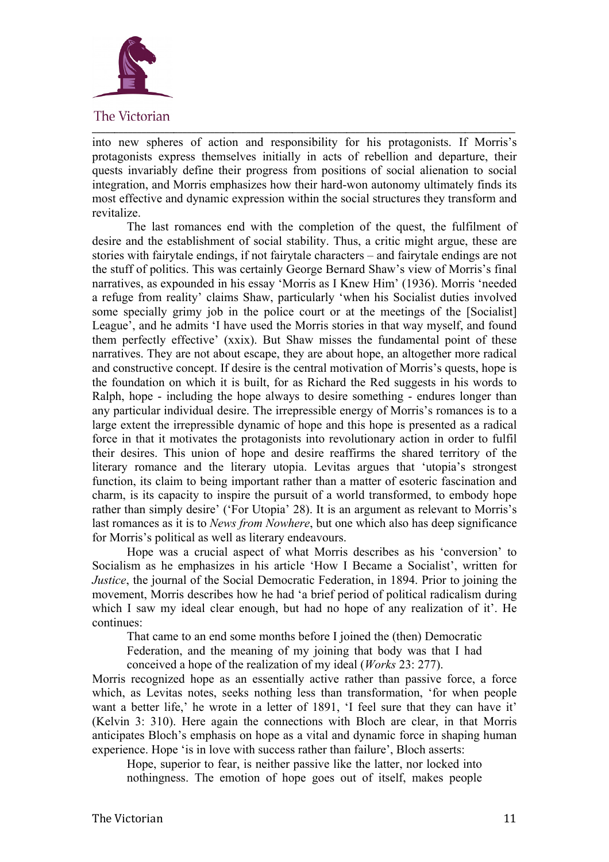

into new spheres of action and responsibility for his protagonists. If Morris's protagonists express themselves initially in acts of rebellion and departure, their quests invariably define their progress from positions of social alienation to social integration, and Morris emphasizes how their hard-won autonomy ultimately finds its most effective and dynamic expression within the social structures they transform and revitalize.

The last romances end with the completion of the quest, the fulfilment of desire and the establishment of social stability. Thus, a critic might argue, these are stories with fairytale endings, if not fairytale characters – and fairytale endings are not the stuff of politics. This was certainly George Bernard Shaw's view of Morris's final narratives, as expounded in his essay 'Morris as I Knew Him' (1936). Morris 'needed a refuge from reality' claims Shaw, particularly 'when his Socialist duties involved some specially grimy job in the police court or at the meetings of the [Socialist] League', and he admits 'I have used the Morris stories in that way myself, and found them perfectly effective' (xxix). But Shaw misses the fundamental point of these narratives. They are not about escape, they are about hope, an altogether more radical and constructive concept. If desire is the central motivation of Morris's quests, hope is the foundation on which it is built, for as Richard the Red suggests in his words to Ralph, hope - including the hope always to desire something - endures longer than any particular individual desire. The irrepressible energy of Morris's romances is to a large extent the irrepressible dynamic of hope and this hope is presented as a radical force in that it motivates the protagonists into revolutionary action in order to fulfil their desires. This union of hope and desire reaffirms the shared territory of the literary romance and the literary utopia. Levitas argues that 'utopia's strongest function, its claim to being important rather than a matter of esoteric fascination and charm, is its capacity to inspire the pursuit of a world transformed, to embody hope rather than simply desire' ('For Utopia' 28). It is an argument as relevant to Morris's last romances as it is to *News from Nowhere*, but one which also has deep significance for Morris's political as well as literary endeavours.

Hope was a crucial aspect of what Morris describes as his 'conversion' to Socialism as he emphasizes in his article 'How I Became a Socialist', written for *Justice*, the journal of the Social Democratic Federation, in 1894. Prior to joining the movement, Morris describes how he had 'a brief period of political radicalism during which I saw my ideal clear enough, but had no hope of any realization of it'. He continues:

That came to an end some months before I joined the (then) Democratic Federation, and the meaning of my joining that body was that I had conceived a hope of the realization of my ideal (*Works* 23: 277).

Morris recognized hope as an essentially active rather than passive force, a force which, as Levitas notes, seeks nothing less than transformation, 'for when people want a better life,' he wrote in a letter of 1891, 'I feel sure that they can have it' (Kelvin 3: 310). Here again the connections with Bloch are clear, in that Morris anticipates Bloch's emphasis on hope as a vital and dynamic force in shaping human experience. Hope 'is in love with success rather than failure', Bloch asserts:

Hope, superior to fear, is neither passive like the latter, nor locked into nothingness. The emotion of hope goes out of itself, makes people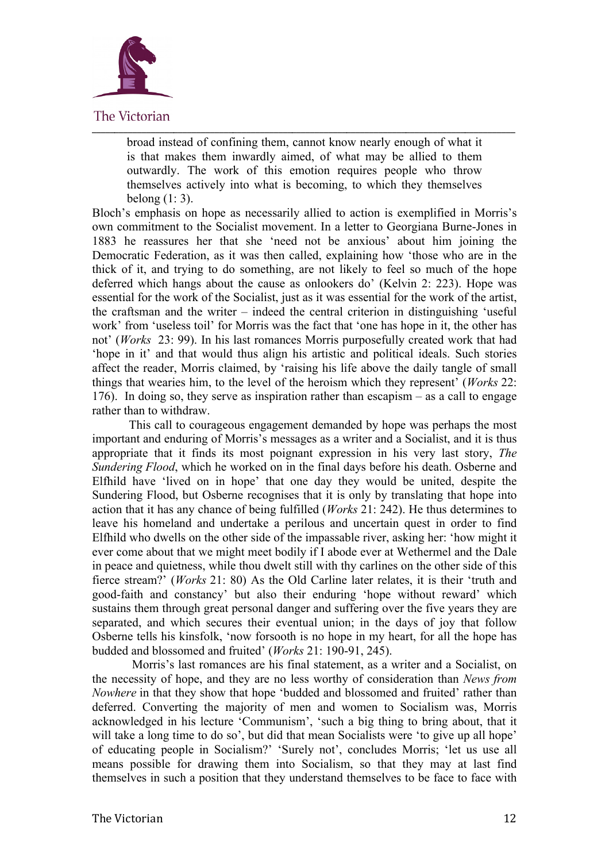

broad instead of confining them, cannot know nearly enough of what it is that makes them inwardly aimed, of what may be allied to them outwardly. The work of this emotion requires people who throw themselves actively into what is becoming, to which they themselves belong (1: 3).

Bloch's emphasis on hope as necessarily allied to action is exemplified in Morris's own commitment to the Socialist movement. In a letter to Georgiana Burne-Jones in 1883 he reassures her that she 'need not be anxious' about him joining the Democratic Federation, as it was then called, explaining how 'those who are in the thick of it, and trying to do something, are not likely to feel so much of the hope deferred which hangs about the cause as onlookers do' (Kelvin 2: 223). Hope was essential for the work of the Socialist, just as it was essential for the work of the artist, the craftsman and the writer – indeed the central criterion in distinguishing 'useful work' from 'useless toil' for Morris was the fact that 'one has hope in it, the other has not' (*Works* 23: 99). In his last romances Morris purposefully created work that had 'hope in it' and that would thus align his artistic and political ideals. Such stories affect the reader, Morris claimed, by 'raising his life above the daily tangle of small things that wearies him, to the level of the heroism which they represent' (*Works* 22: 176). In doing so, they serve as inspiration rather than escapism – as a call to engage rather than to withdraw.

This call to courageous engagement demanded by hope was perhaps the most important and enduring of Morris's messages as a writer and a Socialist, and it is thus appropriate that it finds its most poignant expression in his very last story, *The Sundering Flood*, which he worked on in the final days before his death. Osberne and Elfhild have 'lived on in hope' that one day they would be united, despite the Sundering Flood, but Osberne recognises that it is only by translating that hope into action that it has any chance of being fulfilled (*Works* 21: 242). He thus determines to leave his homeland and undertake a perilous and uncertain quest in order to find Elfhild who dwells on the other side of the impassable river, asking her: 'how might it ever come about that we might meet bodily if I abode ever at Wethermel and the Dale in peace and quietness, while thou dwelt still with thy carlines on the other side of this fierce stream?' (*Works* 21: 80) As the Old Carline later relates, it is their 'truth and good-faith and constancy' but also their enduring 'hope without reward' which sustains them through great personal danger and suffering over the five years they are separated, and which secures their eventual union; in the days of joy that follow Osberne tells his kinsfolk, 'now forsooth is no hope in my heart, for all the hope has budded and blossomed and fruited' (*Works* 21: 190-91, 245).

Morris's last romances are his final statement, as a writer and a Socialist, on the necessity of hope, and they are no less worthy of consideration than *News from Nowhere* in that they show that hope 'budded and blossomed and fruited' rather than deferred. Converting the majority of men and women to Socialism was, Morris acknowledged in his lecture 'Communism', 'such a big thing to bring about, that it will take a long time to do so', but did that mean Socialists were 'to give up all hope' of educating people in Socialism?' 'Surely not', concludes Morris; 'let us use all means possible for drawing them into Socialism, so that they may at last find themselves in such a position that they understand themselves to be face to face with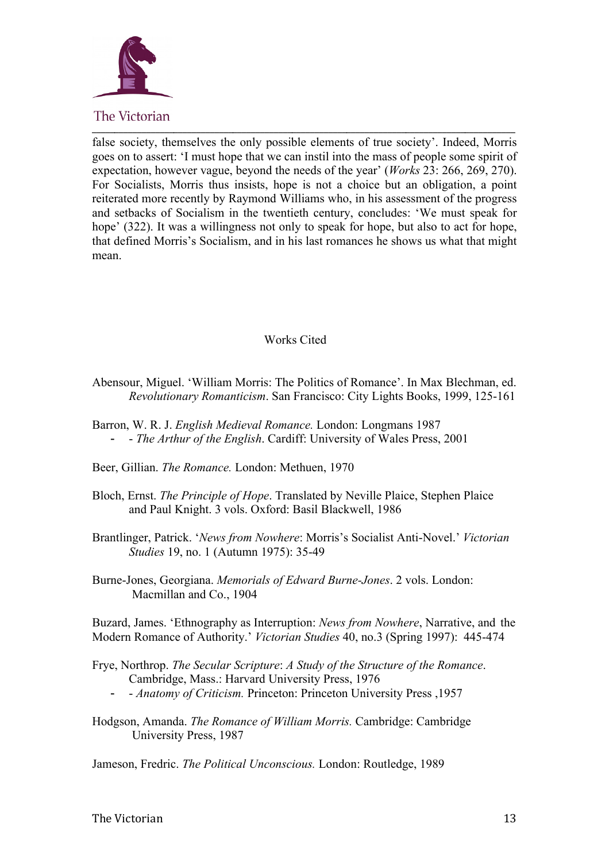

false society, themselves the only possible elements of true society'. Indeed, Morris goes on to assert: 'I must hope that we can instil into the mass of people some spirit of expectation, however vague, beyond the needs of the year' (*Works* 23: 266, 269, 270). For Socialists, Morris thus insists, hope is not a choice but an obligation, a point reiterated more recently by Raymond Williams who, in his assessment of the progress and setbacks of Socialism in the twentieth century, concludes: 'We must speak for hope' (322). It was a willingness not only to speak for hope, but also to act for hope, that defined Morris's Socialism, and in his last romances he shows us what that might mean.

## Works Cited

- Abensour, Miguel. 'William Morris: The Politics of Romance'. In Max Blechman, ed. *Revolutionary Romanticism*. San Francisco: City Lights Books, 1999, 125-161
- Barron, W. R. J. *English Medieval Romance.* London: Longmans 1987 - - *The Arthur of the English*. Cardiff: University of Wales Press, 2001
- Beer, Gillian. *The Romance.* London: Methuen, 1970
- Bloch, Ernst. *The Principle of Hope*. Translated by Neville Plaice, Stephen Plaice and Paul Knight. 3 vols. Oxford: Basil Blackwell, 1986
- Brantlinger, Patrick. '*News from Nowhere*: Morris's Socialist Anti-Novel.' *Victorian Studies* 19, no. 1 (Autumn 1975): 35-49
- Burne-Jones, Georgiana. *Memorials of Edward Burne-Jones*. 2 vols. London: Macmillan and Co., 1904

Buzard, James. 'Ethnography as Interruption: *News from Nowhere*, Narrative, and the Modern Romance of Authority.' *Victorian Studies* 40, no.3 (Spring 1997): 445-474

- Frye, Northrop. *The Secular Scripture*: *A Study of the Structure of the Romance*. Cambridge, Mass.: Harvard University Press, 1976
	- - *Anatomy of Criticism.* Princeton: Princeton University Press ,1957
- Hodgson, Amanda. *The Romance of William Morris.* Cambridge: Cambridge University Press, 1987
- Jameson, Fredric. *The Political Unconscious.* London: Routledge, 1989